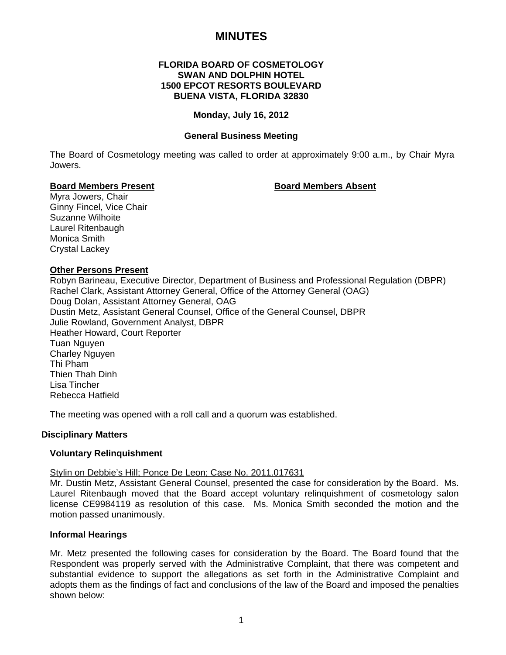# **MINUTES**

# **FLORIDA BOARD OF COSMETOLOGY SWAN AND DOLPHIN HOTEL 1500 EPCOT RESORTS BOULEVARD BUENA VISTA, FLORIDA 32830**

# **Monday, July 16, 2012**

# **General Business Meeting**

The Board of Cosmetology meeting was called to order at approximately 9:00 a.m., by Chair Myra Jowers.

# **Board Members Present Communist Communist Board Members Absent**

Myra Jowers, Chair Ginny Fincel, Vice Chair Suzanne Wilhoite Laurel Ritenbaugh Monica Smith Crystal Lackey

# **Other Persons Present**

Robyn Barineau, Executive Director, Department of Business and Professional Regulation (DBPR) Rachel Clark, Assistant Attorney General, Office of the Attorney General (OAG) Doug Dolan, Assistant Attorney General, OAG Dustin Metz, Assistant General Counsel, Office of the General Counsel, DBPR Julie Rowland, Government Analyst, DBPR Heather Howard, Court Reporter Tuan Nguyen Charley Nguyen Thi Pham Thien Thah Dinh Lisa Tincher Rebecca Hatfield

The meeting was opened with a roll call and a quorum was established.

# **Disciplinary Matters**

# **Voluntary Relinquishment**

# Stylin on Debbie's Hill; Ponce De Leon; Case No. 2011.017631

Mr. Dustin Metz, Assistant General Counsel, presented the case for consideration by the Board. Ms. Laurel Ritenbaugh moved that the Board accept voluntary relinquishment of cosmetology salon license CE9984119 as resolution of this case. Ms. Monica Smith seconded the motion and the motion passed unanimously.

# **Informal Hearings**

Mr. Metz presented the following cases for consideration by the Board. The Board found that the Respondent was properly served with the Administrative Complaint, that there was competent and substantial evidence to support the allegations as set forth in the Administrative Complaint and adopts them as the findings of fact and conclusions of the law of the Board and imposed the penalties shown below: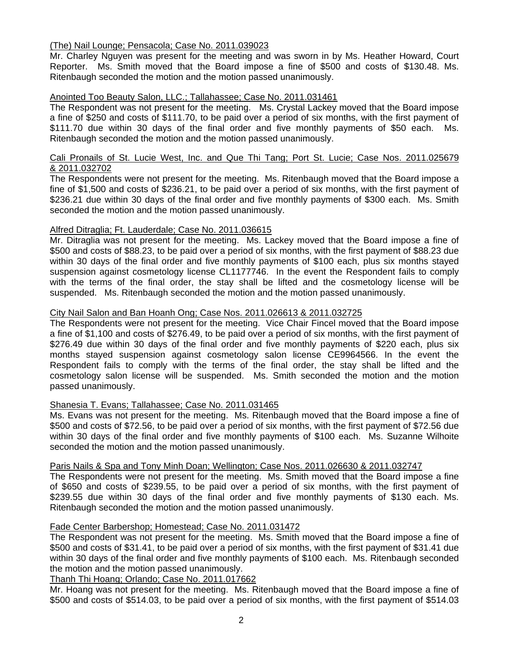# (The) Nail Lounge; Pensacola; Case No. 2011.039023

Mr. Charley Nguyen was present for the meeting and was sworn in by Ms. Heather Howard, Court Reporter. Ms. Smith moved that the Board impose a fine of \$500 and costs of \$130.48. Ms. Ritenbaugh seconded the motion and the motion passed unanimously.

# Anointed Too Beauty Salon, LLC.; Tallahassee; Case No. 2011.031461

The Respondent was not present for the meeting. Ms. Crystal Lackey moved that the Board impose a fine of \$250 and costs of \$111.70, to be paid over a period of six months, with the first payment of \$111.70 due within 30 days of the final order and five monthly payments of \$50 each. Ms. Ritenbaugh seconded the motion and the motion passed unanimously.

# Cali Pronails of St. Lucie West, Inc. and Que Thi Tang; Port St. Lucie; Case Nos. 2011.025679 & 2011.032702

The Respondents were not present for the meeting. Ms. Ritenbaugh moved that the Board impose a fine of \$1,500 and costs of \$236.21, to be paid over a period of six months, with the first payment of \$236.21 due within 30 days of the final order and five monthly payments of \$300 each. Ms. Smith seconded the motion and the motion passed unanimously.

# Alfred Ditraglia; Ft. Lauderdale; Case No. 2011.036615

Mr. Ditraglia was not present for the meeting. Ms. Lackey moved that the Board impose a fine of \$500 and costs of \$88.23, to be paid over a period of six months, with the first payment of \$88.23 due within 30 days of the final order and five monthly payments of \$100 each, plus six months stayed suspension against cosmetology license CL1177746. In the event the Respondent fails to comply with the terms of the final order, the stay shall be lifted and the cosmetology license will be suspended. Ms. Ritenbaugh seconded the motion and the motion passed unanimously.

# City Nail Salon and Ban Hoanh Ong; Case Nos. 2011.026613 & 2011.032725

The Respondents were not present for the meeting. Vice Chair Fincel moved that the Board impose a fine of \$1,100 and costs of \$276.49, to be paid over a period of six months, with the first payment of \$276.49 due within 30 days of the final order and five monthly payments of \$220 each, plus six months stayed suspension against cosmetology salon license CE9964566. In the event the Respondent fails to comply with the terms of the final order, the stay shall be lifted and the cosmetology salon license will be suspended. Ms. Smith seconded the motion and the motion passed unanimously.

# Shanesia T. Evans; Tallahassee; Case No. 2011.031465

Ms. Evans was not present for the meeting. Ms. Ritenbaugh moved that the Board impose a fine of \$500 and costs of \$72.56, to be paid over a period of six months, with the first payment of \$72.56 due within 30 days of the final order and five monthly payments of \$100 each. Ms. Suzanne Wilhoite seconded the motion and the motion passed unanimously.

# Paris Nails & Spa and Tony Minh Doan; Wellington; Case Nos. 2011.026630 & 2011.032747

The Respondents were not present for the meeting. Ms. Smith moved that the Board impose a fine of \$650 and costs of \$239.55, to be paid over a period of six months, with the first payment of \$239.55 due within 30 days of the final order and five monthly payments of \$130 each. Ms. Ritenbaugh seconded the motion and the motion passed unanimously.

# Fade Center Barbershop; Homestead; Case No. 2011.031472

The Respondent was not present for the meeting. Ms. Smith moved that the Board impose a fine of \$500 and costs of \$31.41, to be paid over a period of six months, with the first payment of \$31.41 due within 30 days of the final order and five monthly payments of \$100 each. Ms. Ritenbaugh seconded the motion and the motion passed unanimously.

Thanh Thi Hoang; Orlando; Case No. 2011.017662

Mr. Hoang was not present for the meeting. Ms. Ritenbaugh moved that the Board impose a fine of \$500 and costs of \$514.03, to be paid over a period of six months, with the first payment of \$514.03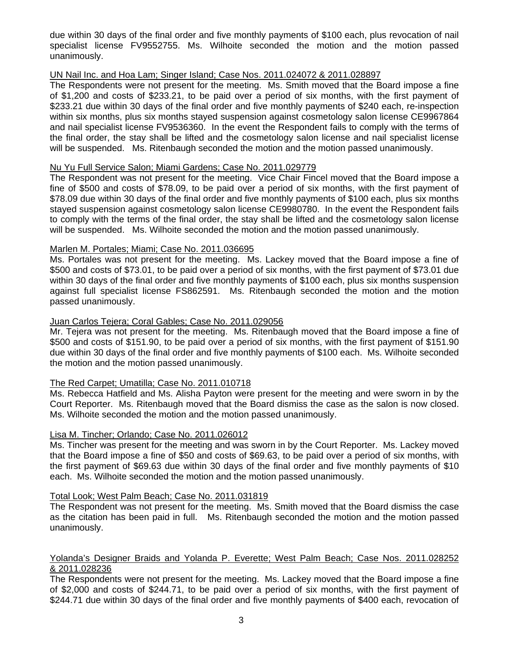due within 30 days of the final order and five monthly payments of \$100 each, plus revocation of nail specialist license FV9552755. Ms. Wilhoite seconded the motion and the motion passed unanimously.

# UN Nail Inc. and Hoa Lam; Singer Island; Case Nos. 2011.024072 & 2011.028897

The Respondents were not present for the meeting. Ms. Smith moved that the Board impose a fine of \$1,200 and costs of \$233.21, to be paid over a period of six months, with the first payment of \$233.21 due within 30 days of the final order and five monthly payments of \$240 each, re-inspection within six months, plus six months stayed suspension against cosmetology salon license CE9967864 and nail specialist license FV9536360. In the event the Respondent fails to comply with the terms of the final order, the stay shall be lifted and the cosmetology salon license and nail specialist license will be suspended. Ms. Ritenbaugh seconded the motion and the motion passed unanimously.

# Nu Yu Full Service Salon; Miami Gardens; Case No. 2011.029779

The Respondent was not present for the meeting. Vice Chair Fincel moved that the Board impose a fine of \$500 and costs of \$78.09, to be paid over a period of six months, with the first payment of \$78.09 due within 30 days of the final order and five monthly payments of \$100 each, plus six months stayed suspension against cosmetology salon license CE9980780. In the event the Respondent fails to comply with the terms of the final order, the stay shall be lifted and the cosmetology salon license will be suspended. Ms. Wilhoite seconded the motion and the motion passed unanimously.

# Marlen M. Portales; Miami; Case No. 2011.036695

Ms. Portales was not present for the meeting. Ms. Lackey moved that the Board impose a fine of \$500 and costs of \$73.01, to be paid over a period of six months, with the first payment of \$73.01 due within 30 days of the final order and five monthly payments of \$100 each, plus six months suspension against full specialist license FS862591. Ms. Ritenbaugh seconded the motion and the motion passed unanimously.

# Juan Carlos Tejera; Coral Gables; Case No. 2011.029056

Mr. Tejera was not present for the meeting. Ms. Ritenbaugh moved that the Board impose a fine of \$500 and costs of \$151.90, to be paid over a period of six months, with the first payment of \$151.90 due within 30 days of the final order and five monthly payments of \$100 each. Ms. Wilhoite seconded the motion and the motion passed unanimously.

# The Red Carpet; Umatilla; Case No. 2011.010718

Ms. Rebecca Hatfield and Ms. Alisha Payton were present for the meeting and were sworn in by the Court Reporter. Ms. Ritenbaugh moved that the Board dismiss the case as the salon is now closed. Ms. Wilhoite seconded the motion and the motion passed unanimously.

# Lisa M. Tincher; Orlando; Case No. 2011.026012

Ms. Tincher was present for the meeting and was sworn in by the Court Reporter. Ms. Lackey moved that the Board impose a fine of \$50 and costs of \$69.63, to be paid over a period of six months, with the first payment of \$69.63 due within 30 days of the final order and five monthly payments of \$10 each. Ms. Wilhoite seconded the motion and the motion passed unanimously.

# Total Look; West Palm Beach; Case No. 2011.031819

The Respondent was not present for the meeting. Ms. Smith moved that the Board dismiss the case as the citation has been paid in full. Ms. Ritenbaugh seconded the motion and the motion passed unanimously.

# Yolanda's Designer Braids and Yolanda P. Everette; West Palm Beach; Case Nos. 2011.028252 & 2011.028236

The Respondents were not present for the meeting. Ms. Lackey moved that the Board impose a fine of \$2,000 and costs of \$244.71, to be paid over a period of six months, with the first payment of \$244.71 due within 30 days of the final order and five monthly payments of \$400 each, revocation of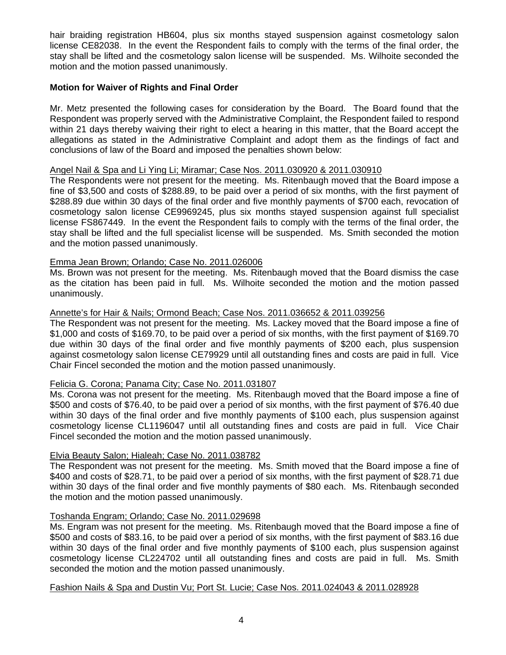hair braiding registration HB604, plus six months stayed suspension against cosmetology salon license CE82038. In the event the Respondent fails to comply with the terms of the final order, the stay shall be lifted and the cosmetology salon license will be suspended. Ms. Wilhoite seconded the motion and the motion passed unanimously.

# **Motion for Waiver of Rights and Final Order**

Mr. Metz presented the following cases for consideration by the Board. The Board found that the Respondent was properly served with the Administrative Complaint, the Respondent failed to respond within 21 days thereby waiving their right to elect a hearing in this matter, that the Board accept the allegations as stated in the Administrative Complaint and adopt them as the findings of fact and conclusions of law of the Board and imposed the penalties shown below:

# Angel Nail & Spa and Li Ying Li; Miramar; Case Nos. 2011.030920 & 2011.030910

The Respondents were not present for the meeting. Ms. Ritenbaugh moved that the Board impose a fine of \$3,500 and costs of \$288.89, to be paid over a period of six months, with the first payment of \$288.89 due within 30 days of the final order and five monthly payments of \$700 each, revocation of cosmetology salon license CE9969245, plus six months stayed suspension against full specialist license FS867449. In the event the Respondent fails to comply with the terms of the final order, the stay shall be lifted and the full specialist license will be suspended. Ms. Smith seconded the motion and the motion passed unanimously.

# Emma Jean Brown; Orlando; Case No. 2011.026006

Ms. Brown was not present for the meeting. Ms. Ritenbaugh moved that the Board dismiss the case as the citation has been paid in full. Ms. Wilhoite seconded the motion and the motion passed unanimously.

# Annette's for Hair & Nails; Ormond Beach; Case Nos. 2011.036652 & 2011.039256

The Respondent was not present for the meeting. Ms. Lackey moved that the Board impose a fine of \$1,000 and costs of \$169.70, to be paid over a period of six months, with the first payment of \$169.70 due within 30 days of the final order and five monthly payments of \$200 each, plus suspension against cosmetology salon license CE79929 until all outstanding fines and costs are paid in full. Vice Chair Fincel seconded the motion and the motion passed unanimously.

# Felicia G. Corona; Panama City; Case No. 2011.031807

Ms. Corona was not present for the meeting. Ms. Ritenbaugh moved that the Board impose a fine of \$500 and costs of \$76.40, to be paid over a period of six months, with the first payment of \$76.40 due within 30 days of the final order and five monthly payments of \$100 each, plus suspension against cosmetology license CL1196047 until all outstanding fines and costs are paid in full. Vice Chair Fincel seconded the motion and the motion passed unanimously.

# Elvia Beauty Salon; Hialeah; Case No. 2011.038782

The Respondent was not present for the meeting. Ms. Smith moved that the Board impose a fine of \$400 and costs of \$28.71, to be paid over a period of six months, with the first payment of \$28.71 due within 30 days of the final order and five monthly payments of \$80 each. Ms. Ritenbaugh seconded the motion and the motion passed unanimously.

# Toshanda Engram; Orlando; Case No. 2011.029698

Ms. Engram was not present for the meeting. Ms. Ritenbaugh moved that the Board impose a fine of \$500 and costs of \$83.16, to be paid over a period of six months, with the first payment of \$83.16 due within 30 days of the final order and five monthly payments of \$100 each, plus suspension against cosmetology license CL224702 until all outstanding fines and costs are paid in full. Ms. Smith seconded the motion and the motion passed unanimously.

# Fashion Nails & Spa and Dustin Vu; Port St. Lucie; Case Nos. 2011.024043 & 2011.028928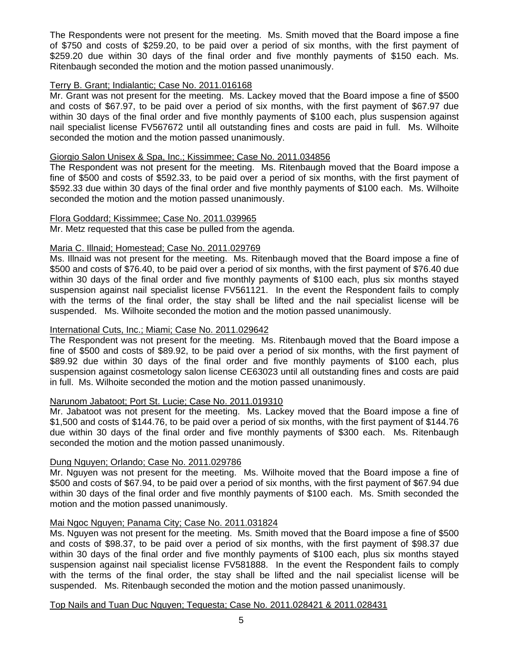The Respondents were not present for the meeting. Ms. Smith moved that the Board impose a fine of \$750 and costs of \$259.20, to be paid over a period of six months, with the first payment of \$259.20 due within 30 days of the final order and five monthly payments of \$150 each. Ms. Ritenbaugh seconded the motion and the motion passed unanimously.

# Terry B. Grant; Indialantic; Case No. 2011.016168

Mr. Grant was not present for the meeting. Ms. Lackey moved that the Board impose a fine of \$500 and costs of \$67.97, to be paid over a period of six months, with the first payment of \$67.97 due within 30 days of the final order and five monthly payments of \$100 each, plus suspension against nail specialist license FV567672 until all outstanding fines and costs are paid in full. Ms. Wilhoite seconded the motion and the motion passed unanimously.

# Giorgio Salon Unisex & Spa, Inc.; Kissimmee; Case No. 2011.034856

The Respondent was not present for the meeting. Ms. Ritenbaugh moved that the Board impose a fine of \$500 and costs of \$592.33, to be paid over a period of six months, with the first payment of \$592.33 due within 30 days of the final order and five monthly payments of \$100 each. Ms. Wilhoite seconded the motion and the motion passed unanimously.

# Flora Goddard; Kissimmee; Case No. 2011.039965

Mr. Metz requested that this case be pulled from the agenda.

# Maria C. Illnaid; Homestead; Case No. 2011.029769

Ms. Illnaid was not present for the meeting. Ms. Ritenbaugh moved that the Board impose a fine of \$500 and costs of \$76.40, to be paid over a period of six months, with the first payment of \$76.40 due within 30 days of the final order and five monthly payments of \$100 each, plus six months stayed suspension against nail specialist license FV561121. In the event the Respondent fails to comply with the terms of the final order, the stay shall be lifted and the nail specialist license will be suspended. Ms. Wilhoite seconded the motion and the motion passed unanimously.

# International Cuts, Inc.; Miami; Case No. 2011.029642

The Respondent was not present for the meeting. Ms. Ritenbaugh moved that the Board impose a fine of \$500 and costs of \$89.92, to be paid over a period of six months, with the first payment of \$89.92 due within 30 days of the final order and five monthly payments of \$100 each, plus suspension against cosmetology salon license CE63023 until all outstanding fines and costs are paid in full. Ms. Wilhoite seconded the motion and the motion passed unanimously.

# Narunom Jabatoot; Port St. Lucie; Case No. 2011.019310

Mr. Jabatoot was not present for the meeting. Ms. Lackey moved that the Board impose a fine of \$1,500 and costs of \$144.76, to be paid over a period of six months, with the first payment of \$144.76 due within 30 days of the final order and five monthly payments of \$300 each. Ms. Ritenbaugh seconded the motion and the motion passed unanimously.

# Dung Nguyen; Orlando; Case No. 2011.029786

Mr. Nguyen was not present for the meeting. Ms. Wilhoite moved that the Board impose a fine of \$500 and costs of \$67.94, to be paid over a period of six months, with the first payment of \$67.94 due within 30 days of the final order and five monthly payments of \$100 each. Ms. Smith seconded the motion and the motion passed unanimously.

# Mai Ngoc Nguyen; Panama City; Case No. 2011.031824

Ms. Nguyen was not present for the meeting. Ms. Smith moved that the Board impose a fine of \$500 and costs of \$98.37, to be paid over a period of six months, with the first payment of \$98.37 due within 30 days of the final order and five monthly payments of \$100 each, plus six months stayed suspension against nail specialist license FV581888. In the event the Respondent fails to comply with the terms of the final order, the stay shall be lifted and the nail specialist license will be suspended. Ms. Ritenbaugh seconded the motion and the motion passed unanimously.

# Top Nails and Tuan Duc Nguyen; Tequesta; Case No. 2011.028421 & 2011.028431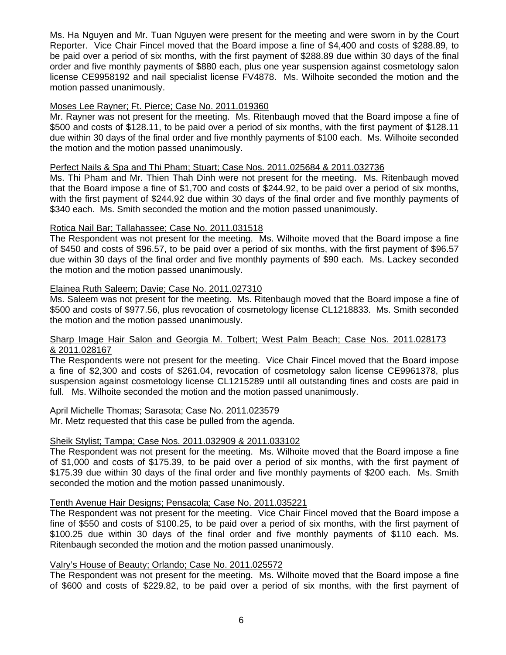Ms. Ha Nguyen and Mr. Tuan Nguyen were present for the meeting and were sworn in by the Court Reporter. Vice Chair Fincel moved that the Board impose a fine of \$4,400 and costs of \$288.89, to be paid over a period of six months, with the first payment of \$288.89 due within 30 days of the final order and five monthly payments of \$880 each, plus one year suspension against cosmetology salon license CE9958192 and nail specialist license FV4878. Ms. Wilhoite seconded the motion and the motion passed unanimously.

# Moses Lee Rayner; Ft. Pierce; Case No. 2011.019360

Mr. Rayner was not present for the meeting. Ms. Ritenbaugh moved that the Board impose a fine of \$500 and costs of \$128.11, to be paid over a period of six months, with the first payment of \$128.11 due within 30 days of the final order and five monthly payments of \$100 each. Ms. Wilhoite seconded the motion and the motion passed unanimously.

# Perfect Nails & Spa and Thi Pham; Stuart; Case Nos. 2011.025684 & 2011.032736

Ms. Thi Pham and Mr. Thien Thah Dinh were not present for the meeting. Ms. Ritenbaugh moved that the Board impose a fine of \$1,700 and costs of \$244.92, to be paid over a period of six months, with the first payment of \$244.92 due within 30 days of the final order and five monthly payments of \$340 each. Ms. Smith seconded the motion and the motion passed unanimously.

# Rotica Nail Bar; Tallahassee; Case No. 2011.031518

The Respondent was not present for the meeting. Ms. Wilhoite moved that the Board impose a fine of \$450 and costs of \$96.57, to be paid over a period of six months, with the first payment of \$96.57 due within 30 days of the final order and five monthly payments of \$90 each. Ms. Lackey seconded the motion and the motion passed unanimously.

# Elainea Ruth Saleem; Davie; Case No. 2011.027310

Ms. Saleem was not present for the meeting. Ms. Ritenbaugh moved that the Board impose a fine of \$500 and costs of \$977.56, plus revocation of cosmetology license CL1218833. Ms. Smith seconded the motion and the motion passed unanimously.

# Sharp Image Hair Salon and Georgia M. Tolbert; West Palm Beach; Case Nos. 2011.028173 & 2011.028167

The Respondents were not present for the meeting. Vice Chair Fincel moved that the Board impose a fine of \$2,300 and costs of \$261.04, revocation of cosmetology salon license CE9961378, plus suspension against cosmetology license CL1215289 until all outstanding fines and costs are paid in full. Ms. Wilhoite seconded the motion and the motion passed unanimously.

# April Michelle Thomas; Sarasota; Case No. 2011.023579

Mr. Metz requested that this case be pulled from the agenda.

# Sheik Stylist; Tampa; Case Nos. 2011.032909 & 2011.033102

The Respondent was not present for the meeting. Ms. Wilhoite moved that the Board impose a fine of \$1,000 and costs of \$175.39, to be paid over a period of six months, with the first payment of \$175.39 due within 30 days of the final order and five monthly payments of \$200 each. Ms. Smith seconded the motion and the motion passed unanimously.

# Tenth Avenue Hair Designs; Pensacola; Case No. 2011.035221

The Respondent was not present for the meeting. Vice Chair Fincel moved that the Board impose a fine of \$550 and costs of \$100.25, to be paid over a period of six months, with the first payment of \$100.25 due within 30 days of the final order and five monthly payments of \$110 each. Ms. Ritenbaugh seconded the motion and the motion passed unanimously.

# Valry's House of Beauty; Orlando; Case No. 2011.025572

The Respondent was not present for the meeting. Ms. Wilhoite moved that the Board impose a fine of \$600 and costs of \$229.82, to be paid over a period of six months, with the first payment of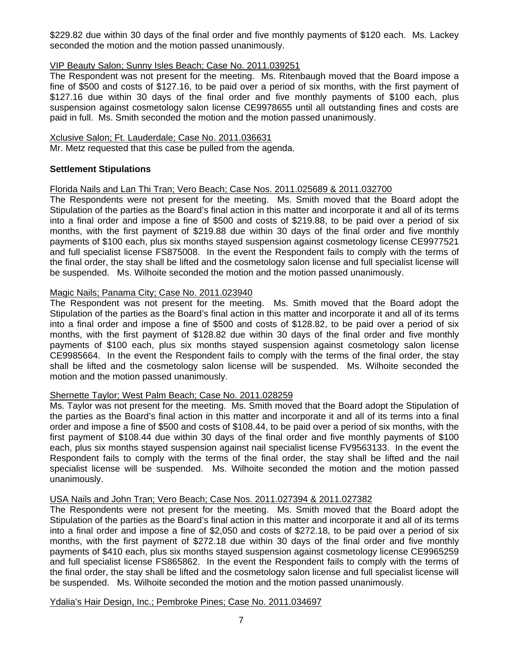\$229.82 due within 30 days of the final order and five monthly payments of \$120 each. Ms. Lackey seconded the motion and the motion passed unanimously.

# VIP Beauty Salon; Sunny Isles Beach; Case No. 2011.039251

The Respondent was not present for the meeting. Ms. Ritenbaugh moved that the Board impose a fine of \$500 and costs of \$127.16, to be paid over a period of six months, with the first payment of \$127.16 due within 30 days of the final order and five monthly payments of \$100 each, plus suspension against cosmetology salon license CE9978655 until all outstanding fines and costs are paid in full. Ms. Smith seconded the motion and the motion passed unanimously.

# Xclusive Salon; Ft. Lauderdale; Case No. 2011.036631

Mr. Metz requested that this case be pulled from the agenda.

# **Settlement Stipulations**

# Florida Nails and Lan Thi Tran; Vero Beach; Case Nos. 2011.025689 & 2011.032700

The Respondents were not present for the meeting. Ms. Smith moved that the Board adopt the Stipulation of the parties as the Board's final action in this matter and incorporate it and all of its terms into a final order and impose a fine of \$500 and costs of \$219.88, to be paid over a period of six months, with the first payment of \$219.88 due within 30 days of the final order and five monthly payments of \$100 each, plus six months stayed suspension against cosmetology license CE9977521 and full specialist license FS875008. In the event the Respondent fails to comply with the terms of the final order, the stay shall be lifted and the cosmetology salon license and full specialist license will be suspended. Ms. Wilhoite seconded the motion and the motion passed unanimously.

# Magic Nails; Panama City; Case No. 2011.023940

The Respondent was not present for the meeting. Ms. Smith moved that the Board adopt the Stipulation of the parties as the Board's final action in this matter and incorporate it and all of its terms into a final order and impose a fine of \$500 and costs of \$128.82, to be paid over a period of six months, with the first payment of \$128.82 due within 30 days of the final order and five monthly payments of \$100 each, plus six months stayed suspension against cosmetology salon license CE9985664. In the event the Respondent fails to comply with the terms of the final order, the stay shall be lifted and the cosmetology salon license will be suspended. Ms. Wilhoite seconded the motion and the motion passed unanimously.

# Shernette Taylor; West Palm Beach; Case No. 2011.028259

Ms. Taylor was not present for the meeting. Ms. Smith moved that the Board adopt the Stipulation of the parties as the Board's final action in this matter and incorporate it and all of its terms into a final order and impose a fine of \$500 and costs of \$108.44, to be paid over a period of six months, with the first payment of \$108.44 due within 30 days of the final order and five monthly payments of \$100 each, plus six months stayed suspension against nail specialist license FV9563133. In the event the Respondent fails to comply with the terms of the final order, the stay shall be lifted and the nail specialist license will be suspended. Ms. Wilhoite seconded the motion and the motion passed unanimously.

# USA Nails and John Tran; Vero Beach; Case Nos. 2011.027394 & 2011.027382

The Respondents were not present for the meeting. Ms. Smith moved that the Board adopt the Stipulation of the parties as the Board's final action in this matter and incorporate it and all of its terms into a final order and impose a fine of \$2,050 and costs of \$272.18, to be paid over a period of six months, with the first payment of \$272.18 due within 30 days of the final order and five monthly payments of \$410 each, plus six months stayed suspension against cosmetology license CE9965259 and full specialist license FS865862. In the event the Respondent fails to comply with the terms of the final order, the stay shall be lifted and the cosmetology salon license and full specialist license will be suspended. Ms. Wilhoite seconded the motion and the motion passed unanimously.

# Ydalia's Hair Design, Inc.; Pembroke Pines; Case No. 2011.034697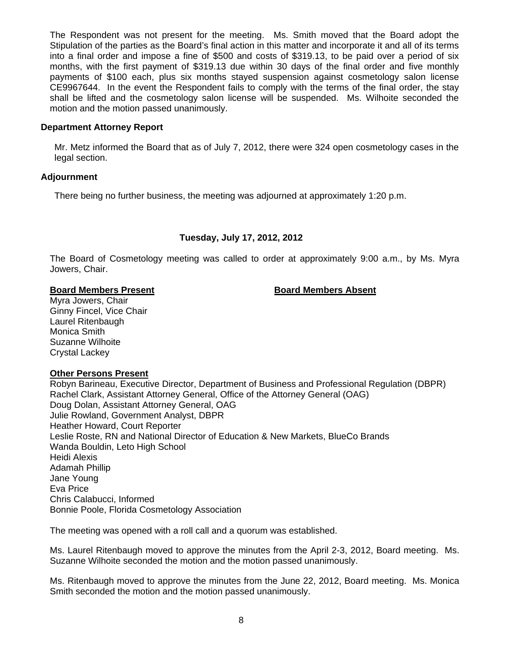The Respondent was not present for the meeting. Ms. Smith moved that the Board adopt the Stipulation of the parties as the Board's final action in this matter and incorporate it and all of its terms into a final order and impose a fine of \$500 and costs of \$319.13, to be paid over a period of six months, with the first payment of \$319.13 due within 30 days of the final order and five monthly payments of \$100 each, plus six months stayed suspension against cosmetology salon license CE9967644. In the event the Respondent fails to comply with the terms of the final order, the stay shall be lifted and the cosmetology salon license will be suspended. Ms. Wilhoite seconded the motion and the motion passed unanimously.

# **Department Attorney Report**

Mr. Metz informed the Board that as of July 7, 2012, there were 324 open cosmetology cases in the legal section.

# **Adjournment**

There being no further business, the meeting was adjourned at approximately 1:20 p.m.

# **Tuesday, July 17, 2012, 2012**

The Board of Cosmetology meeting was called to order at approximately 9:00 a.m., by Ms. Myra Jowers, Chair.

# **Board Members Present Communist Board Members Absent**

Myra Jowers, Chair Ginny Fincel, Vice Chair Laurel Ritenbaugh Monica Smith Suzanne Wilhoite Crystal Lackey

# **Other Persons Present**

Robyn Barineau, Executive Director, Department of Business and Professional Regulation (DBPR) Rachel Clark, Assistant Attorney General, Office of the Attorney General (OAG) Doug Dolan, Assistant Attorney General, OAG Julie Rowland, Government Analyst, DBPR Heather Howard, Court Reporter Leslie Roste, RN and National Director of Education & New Markets, BlueCo Brands Wanda Bouldin, Leto High School Heidi Alexis Adamah Phillip Jane Young Eva Price Chris Calabucci, Informed Bonnie Poole, Florida Cosmetology Association

The meeting was opened with a roll call and a quorum was established.

Ms. Laurel Ritenbaugh moved to approve the minutes from the April 2-3, 2012, Board meeting. Ms. Suzanne Wilhoite seconded the motion and the motion passed unanimously.

Ms. Ritenbaugh moved to approve the minutes from the June 22, 2012, Board meeting. Ms. Monica Smith seconded the motion and the motion passed unanimously.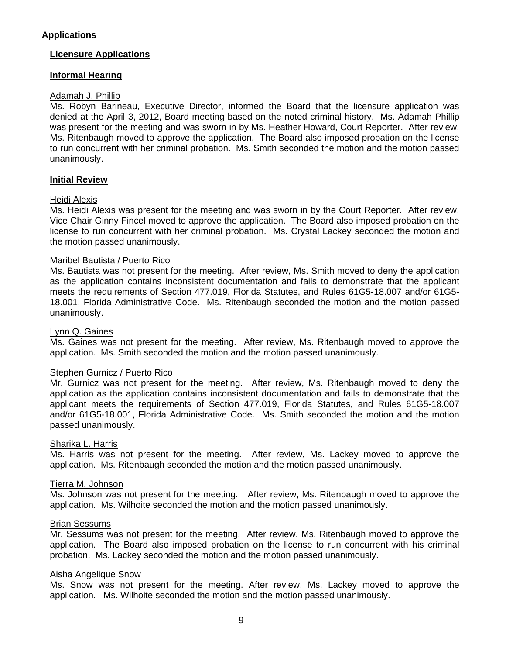# **Applications**

# **Licensure Applications**

# **Informal Hearing**

# Adamah J. Phillip

Ms. Robyn Barineau, Executive Director, informed the Board that the licensure application was denied at the April 3, 2012, Board meeting based on the noted criminal history. Ms. Adamah Phillip was present for the meeting and was sworn in by Ms. Heather Howard, Court Reporter. After review, Ms. Ritenbaugh moved to approve the application. The Board also imposed probation on the license to run concurrent with her criminal probation. Ms. Smith seconded the motion and the motion passed unanimously.

# **Initial Review**

# Heidi Alexis

Ms. Heidi Alexis was present for the meeting and was sworn in by the Court Reporter. After review, Vice Chair Ginny Fincel moved to approve the application. The Board also imposed probation on the license to run concurrent with her criminal probation. Ms. Crystal Lackey seconded the motion and the motion passed unanimously.

# Maribel Bautista / Puerto Rico

Ms. Bautista was not present for the meeting. After review, Ms. Smith moved to deny the application as the application contains inconsistent documentation and fails to demonstrate that the applicant meets the requirements of Section 477.019, Florida Statutes, and Rules 61G5-18.007 and/or 61G5- 18.001, Florida Administrative Code. Ms. Ritenbaugh seconded the motion and the motion passed unanimously.

## Lynn Q. Gaines

Ms. Gaines was not present for the meeting. After review, Ms. Ritenbaugh moved to approve the application. Ms. Smith seconded the motion and the motion passed unanimously.

# Stephen Gurnicz / Puerto Rico

Mr. Gurnicz was not present for the meeting. After review, Ms. Ritenbaugh moved to deny the application as the application contains inconsistent documentation and fails to demonstrate that the applicant meets the requirements of Section 477.019, Florida Statutes, and Rules 61G5-18.007 and/or 61G5-18.001, Florida Administrative Code. Ms. Smith seconded the motion and the motion passed unanimously.

### Sharika L. Harris

Ms. Harris was not present for the meeting. After review, Ms. Lackey moved to approve the application. Ms. Ritenbaugh seconded the motion and the motion passed unanimously.

# Tierra M. Johnson

Ms. Johnson was not present for the meeting. After review, Ms. Ritenbaugh moved to approve the application. Ms. Wilhoite seconded the motion and the motion passed unanimously.

### Brian Sessums

Mr. Sessums was not present for the meeting. After review, Ms. Ritenbaugh moved to approve the application. The Board also imposed probation on the license to run concurrent with his criminal probation. Ms. Lackey seconded the motion and the motion passed unanimously.

# Aisha Angelique Snow

Ms. Snow was not present for the meeting. After review, Ms. Lackey moved to approve the application. Ms. Wilhoite seconded the motion and the motion passed unanimously.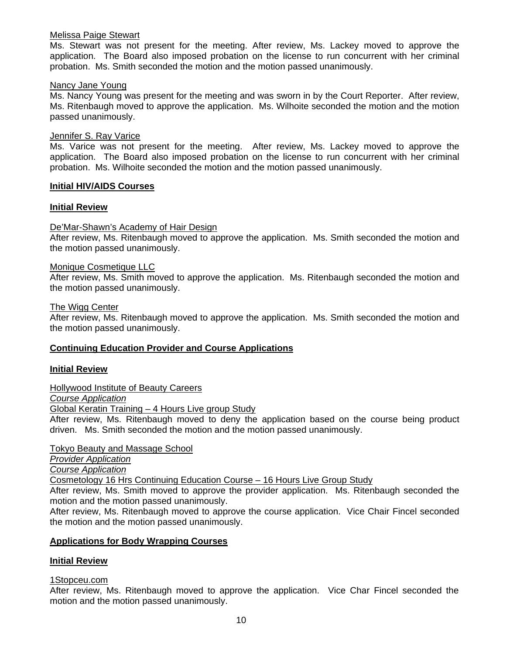# Melissa Paige Stewart

Ms. Stewart was not present for the meeting. After review, Ms. Lackey moved to approve the application. The Board also imposed probation on the license to run concurrent with her criminal probation. Ms. Smith seconded the motion and the motion passed unanimously.

# Nancy Jane Young

Ms. Nancy Young was present for the meeting and was sworn in by the Court Reporter. After review, Ms. Ritenbaugh moved to approve the application. Ms. Wilhoite seconded the motion and the motion passed unanimously.

# Jennifer S. Ray Varice

Ms. Varice was not present for the meeting. After review, Ms. Lackey moved to approve the application. The Board also imposed probation on the license to run concurrent with her criminal probation. Ms. Wilhoite seconded the motion and the motion passed unanimously.

# **Initial HIV/AIDS Courses**

# **Initial Review**

# De'Mar-Shawn's Academy of Hair Design

After review, Ms. Ritenbaugh moved to approve the application. Ms. Smith seconded the motion and the motion passed unanimously.

# Monique Cosmetique LLC

After review, Ms. Smith moved to approve the application. Ms. Ritenbaugh seconded the motion and the motion passed unanimously.

# The Wigg Center

After review, Ms. Ritenbaugh moved to approve the application. Ms. Smith seconded the motion and the motion passed unanimously.

# **Continuing Education Provider and Course Applications**

# **Initial Review**

Hollywood Institute of Beauty Careers

*Course Application*

Global Keratin Training – 4 Hours Live group Study

After review, Ms. Ritenbaugh moved to deny the application based on the course being product driven. Ms. Smith seconded the motion and the motion passed unanimously.

Tokyo Beauty and Massage School

*Provider Application*

*Course Application* 

Cosmetology 16 Hrs Continuing Education Course – 16 Hours Live Group Study

After review, Ms. Smith moved to approve the provider application. Ms. Ritenbaugh seconded the motion and the motion passed unanimously.

After review, Ms. Ritenbaugh moved to approve the course application. Vice Chair Fincel seconded the motion and the motion passed unanimously.

# **Applications for Body Wrapping Courses**

# **Initial Review**

# 1Stopceu.com

After review, Ms. Ritenbaugh moved to approve the application. Vice Char Fincel seconded the motion and the motion passed unanimously.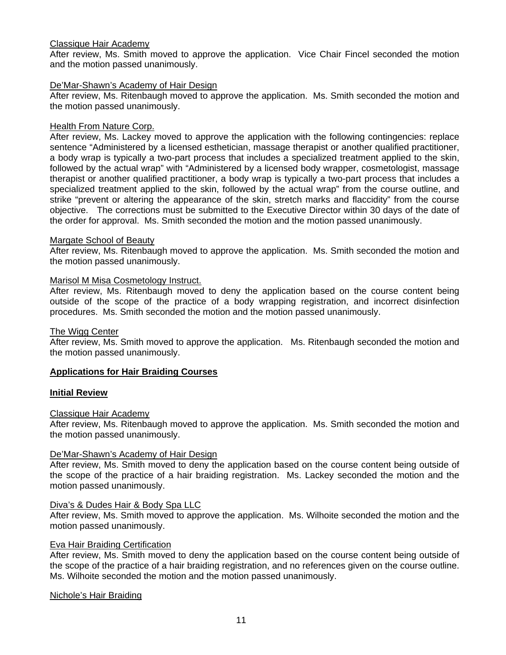# Classique Hair Academy

After review, Ms. Smith moved to approve the application. Vice Chair Fincel seconded the motion and the motion passed unanimously.

# De'Mar-Shawn's Academy of Hair Design

After review, Ms. Ritenbaugh moved to approve the application. Ms. Smith seconded the motion and the motion passed unanimously.

# Health From Nature Corp.

After review, Ms. Lackey moved to approve the application with the following contingencies: replace sentence "Administered by a licensed esthetician, massage therapist or another qualified practitioner, a body wrap is typically a two-part process that includes a specialized treatment applied to the skin, followed by the actual wrap" with "Administered by a licensed body wrapper, cosmetologist, massage therapist or another qualified practitioner, a body wrap is typically a two-part process that includes a specialized treatment applied to the skin, followed by the actual wrap" from the course outline, and strike "prevent or altering the appearance of the skin, stretch marks and flaccidity" from the course objective. The corrections must be submitted to the Executive Director within 30 days of the date of the order for approval. Ms. Smith seconded the motion and the motion passed unanimously.

# Margate School of Beauty

After review, Ms. Ritenbaugh moved to approve the application. Ms. Smith seconded the motion and the motion passed unanimously.

# Marisol M Misa Cosmetology Instruct.

After review, Ms. Ritenbaugh moved to deny the application based on the course content being outside of the scope of the practice of a body wrapping registration, and incorrect disinfection procedures. Ms. Smith seconded the motion and the motion passed unanimously.

# The Wigg Center

After review, Ms. Smith moved to approve the application. Ms. Ritenbaugh seconded the motion and the motion passed unanimously.

# **Applications for Hair Braiding Courses**

# **Initial Review**

# Classique Hair Academy

After review, Ms. Ritenbaugh moved to approve the application. Ms. Smith seconded the motion and the motion passed unanimously.

# De'Mar-Shawn's Academy of Hair Design

After review, Ms. Smith moved to deny the application based on the course content being outside of the scope of the practice of a hair braiding registration. Ms. Lackey seconded the motion and the motion passed unanimously.

# Diva's & Dudes Hair & Body Spa LLC

After review, Ms. Smith moved to approve the application. Ms. Wilhoite seconded the motion and the motion passed unanimously.

# Eva Hair Braiding Certification

After review, Ms. Smith moved to deny the application based on the course content being outside of the scope of the practice of a hair braiding registration, and no references given on the course outline. Ms. Wilhoite seconded the motion and the motion passed unanimously.

# Nichole's Hair Braiding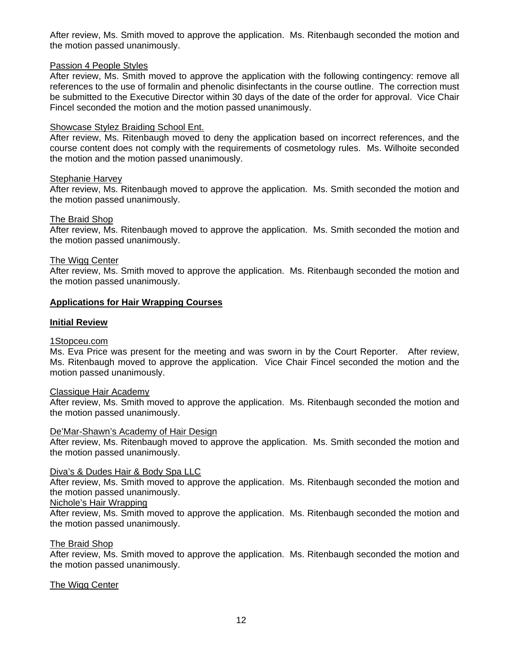After review, Ms. Smith moved to approve the application. Ms. Ritenbaugh seconded the motion and the motion passed unanimously.

# Passion 4 People Styles

After review, Ms. Smith moved to approve the application with the following contingency: remove all references to the use of formalin and phenolic disinfectants in the course outline. The correction must be submitted to the Executive Director within 30 days of the date of the order for approval. Vice Chair Fincel seconded the motion and the motion passed unanimously.

# Showcase Stylez Braiding School Ent.

After review, Ms. Ritenbaugh moved to deny the application based on incorrect references, and the course content does not comply with the requirements of cosmetology rules. Ms. Wilhoite seconded the motion and the motion passed unanimously.

# Stephanie Harvey

After review, Ms. Ritenbaugh moved to approve the application. Ms. Smith seconded the motion and the motion passed unanimously.

# The Braid Shop

After review, Ms. Ritenbaugh moved to approve the application. Ms. Smith seconded the motion and the motion passed unanimously.

# The Wigg Center

After review, Ms. Smith moved to approve the application. Ms. Ritenbaugh seconded the motion and the motion passed unanimously.

# **Applications for Hair Wrapping Courses**

# **Initial Review**

# 1Stopceu.com

Ms. Eva Price was present for the meeting and was sworn in by the Court Reporter. After review, Ms. Ritenbaugh moved to approve the application. Vice Chair Fincel seconded the motion and the motion passed unanimously.

# Classique Hair Academy

After review, Ms. Smith moved to approve the application. Ms. Ritenbaugh seconded the motion and the motion passed unanimously.

# De'Mar-Shawn's Academy of Hair Design

After review, Ms. Ritenbaugh moved to approve the application. Ms. Smith seconded the motion and the motion passed unanimously.

# Diva's & Dudes Hair & Body Spa LLC

After review, Ms. Smith moved to approve the application. Ms. Ritenbaugh seconded the motion and the motion passed unanimously.

# Nichole's Hair Wrapping

After review, Ms. Smith moved to approve the application. Ms. Ritenbaugh seconded the motion and the motion passed unanimously.

# The Braid Shop

After review, Ms. Smith moved to approve the application. Ms. Ritenbaugh seconded the motion and the motion passed unanimously.

# The Wigg Center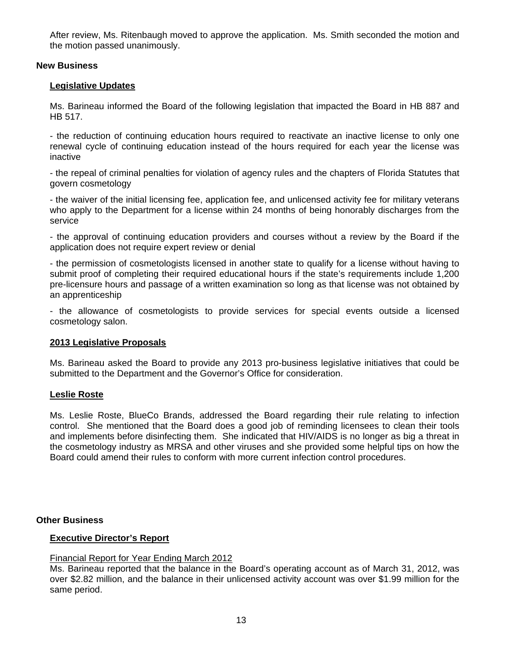After review, Ms. Ritenbaugh moved to approve the application. Ms. Smith seconded the motion and the motion passed unanimously.

# **New Business**

# **Legislative Updates**

Ms. Barineau informed the Board of the following legislation that impacted the Board in HB 887 and HB 517.

- the reduction of continuing education hours required to reactivate an inactive license to only one renewal cycle of continuing education instead of the hours required for each year the license was inactive

- the repeal of criminal penalties for violation of agency rules and the chapters of Florida Statutes that govern cosmetology

- the waiver of the initial licensing fee, application fee, and unlicensed activity fee for military veterans who apply to the Department for a license within 24 months of being honorably discharges from the service

- the approval of continuing education providers and courses without a review by the Board if the application does not require expert review or denial

- the permission of cosmetologists licensed in another state to qualify for a license without having to submit proof of completing their required educational hours if the state's requirements include 1,200 pre-licensure hours and passage of a written examination so long as that license was not obtained by an apprenticeship

- the allowance of cosmetologists to provide services for special events outside a licensed cosmetology salon.

# **2013 Legislative Proposals**

Ms. Barineau asked the Board to provide any 2013 pro-business legislative initiatives that could be submitted to the Department and the Governor's Office for consideration.

# **Leslie Roste**

 Ms. Leslie Roste, BlueCo Brands, addressed the Board regarding their rule relating to infection control. She mentioned that the Board does a good job of reminding licensees to clean their tools and implements before disinfecting them. She indicated that HIV/AIDS is no longer as big a threat in the cosmetology industry as MRSA and other viruses and she provided some helpful tips on how the Board could amend their rules to conform with more current infection control procedures.

# **Other Business**

# **Executive Director's Report**

# Financial Report for Year Ending March 2012

Ms. Barineau reported that the balance in the Board's operating account as of March 31, 2012, was over \$2.82 million, and the balance in their unlicensed activity account was over \$1.99 million for the same period.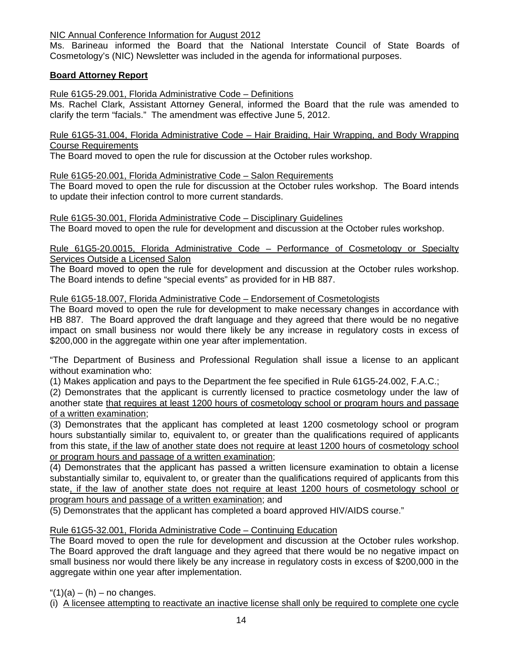# NIC Annual Conference Information for August 2012

Ms. Barineau informed the Board that the National Interstate Council of State Boards of Cosmetology's (NIC) Newsletter was included in the agenda for informational purposes.

# **Board Attorney Report**

Rule 61G5-29.001, Florida Administrative Code – Definitions

Ms. Rachel Clark, Assistant Attorney General, informed the Board that the rule was amended to clarify the term "facials." The amendment was effective June 5, 2012.

Rule 61G5-31.004, Florida Administrative Code – Hair Braiding, Hair Wrapping, and Body Wrapping Course Requirements

The Board moved to open the rule for discussion at the October rules workshop.

# Rule 61G5-20.001, Florida Administrative Code – Salon Requirements

The Board moved to open the rule for discussion at the October rules workshop. The Board intends to update their infection control to more current standards.

# Rule 61G5-30.001, Florida Administrative Code – Disciplinary Guidelines

The Board moved to open the rule for development and discussion at the October rules workshop.

# Rule 61G5-20.0015, Florida Administrative Code – Performance of Cosmetology or Specialty Services Outside a Licensed Salon

The Board moved to open the rule for development and discussion at the October rules workshop. The Board intends to define "special events" as provided for in HB 887.

# Rule 61G5-18.007, Florida Administrative Code – Endorsement of Cosmetologists

The Board moved to open the rule for development to make necessary changes in accordance with HB 887. The Board approved the draft language and they agreed that there would be no negative impact on small business nor would there likely be any increase in regulatory costs in excess of \$200,000 in the aggregate within one year after implementation.

"The Department of Business and Professional Regulation shall issue a license to an applicant without examination who:

(1) Makes application and pays to the Department the fee specified in Rule 61G5-24.002, F.A.C.;

(2) Demonstrates that the applicant is currently licensed to practice cosmetology under the law of another state that requires at least 1200 hours of cosmetology school or program hours and passage of a written examination;

(3) Demonstrates that the applicant has completed at least 1200 cosmetology school or program hours substantially similar to, equivalent to, or greater than the qualifications required of applicants from this state, if the law of another state does not require at least 1200 hours of cosmetology school or program hours and passage of a written examination;

(4) Demonstrates that the applicant has passed a written licensure examination to obtain a license substantially similar to, equivalent to, or greater than the qualifications required of applicants from this state, if the law of another state does not require at least 1200 hours of cosmetology school or program hours and passage of a written examination; and

(5) Demonstrates that the applicant has completed a board approved HIV/AIDS course."

# Rule 61G5-32.001, Florida Administrative Code – Continuing Education

The Board moved to open the rule for development and discussion at the October rules workshop. The Board approved the draft language and they agreed that there would be no negative impact on small business nor would there likely be any increase in regulatory costs in excess of \$200,000 in the aggregate within one year after implementation.

" $(1)(a) - (h) - no$  changes.

(i) A licensee attempting to reactivate an inactive license shall only be required to complete one cycle